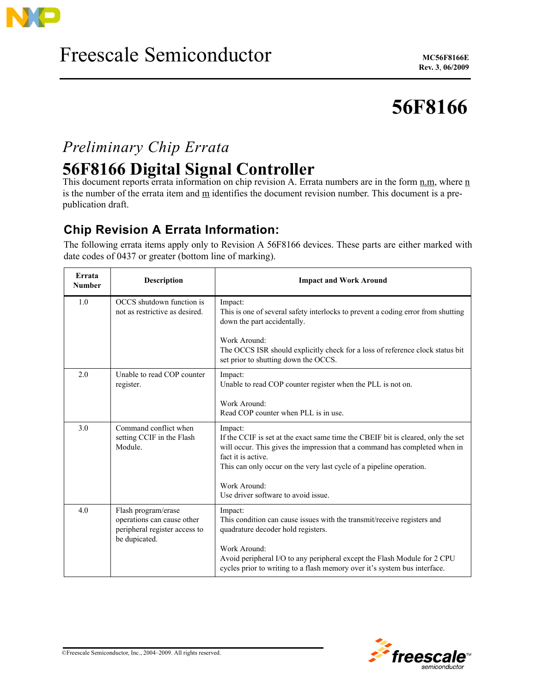

# **56F8166**

## *Preliminary Chip Errata*

## **56F8166 Digital Signal Controller**

This document reports errata information on chip revision A. Errata numbers are in the form n.m, where n is the number of the errata item and m identifies the document revision number. This document is a prepublication draft.

### **Chip Revision A Errata Information:**

The following errata items apply only to Revision A 56F8166 devices. These parts are either marked with date codes of 0437 or greater (bottom line of marking).

| Errata<br><b>Number</b> | <b>Description</b>                                                                                  | <b>Impact and Work Around</b>                                                                                                                                                                                                                                          |
|-------------------------|-----------------------------------------------------------------------------------------------------|------------------------------------------------------------------------------------------------------------------------------------------------------------------------------------------------------------------------------------------------------------------------|
| 1.0                     | OCCS shutdown function is<br>not as restrictive as desired.                                         | Impact:<br>This is one of several safety interlocks to prevent a coding error from shutting<br>down the part accidentally.<br>Work Around:                                                                                                                             |
|                         |                                                                                                     | The OCCS ISR should explicitly check for a loss of reference clock status bit<br>set prior to shutting down the OCCS.                                                                                                                                                  |
| 2.0                     | Unable to read COP counter<br>register.                                                             | Impact:<br>Unable to read COP counter register when the PLL is not on.                                                                                                                                                                                                 |
|                         |                                                                                                     | Work Around:<br>Read COP counter when PLL is in use.                                                                                                                                                                                                                   |
| 3.0                     | Command conflict when<br>setting CCIF in the Flash<br>Module.                                       | Impact:<br>If the CCIF is set at the exact same time the CBEIF bit is cleared, only the set<br>will occur. This gives the impression that a command has completed when in<br>fact it is active.<br>This can only occur on the very last cycle of a pipeline operation. |
|                         |                                                                                                     | Work Around:<br>Use driver software to avoid issue.                                                                                                                                                                                                                    |
| 4.0                     | Flash program/erase<br>operations can cause other<br>peripheral register access to<br>be dupicated. | Impact:<br>This condition can cause issues with the transmit/receive registers and<br>quadrature decoder hold registers.                                                                                                                                               |
|                         |                                                                                                     | Work Around:<br>Avoid peripheral I/O to any peripheral except the Flash Module for 2 CPU<br>cycles prior to writing to a flash memory over it's system bus interface.                                                                                                  |

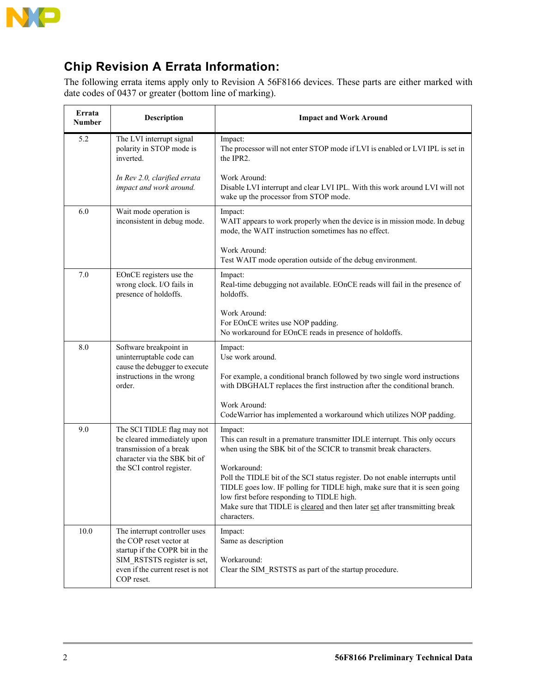

### **Chip Revision A Errata Information:**

The following errata items apply only to Revision A 56F8166 devices. These parts are either marked with date codes of 0437 or greater (bottom line of marking).

| Errata<br>Number | Description                                                                                                                                                                 | <b>Impact and Work Around</b>                                                                                                                                                                                                                                                                                          |
|------------------|-----------------------------------------------------------------------------------------------------------------------------------------------------------------------------|------------------------------------------------------------------------------------------------------------------------------------------------------------------------------------------------------------------------------------------------------------------------------------------------------------------------|
| 5.2              | The LVI interrupt signal<br>polarity in STOP mode is<br>inverted.                                                                                                           | Impact:<br>The processor will not enter STOP mode if LVI is enabled or LVI IPL is set in<br>the IPR2.                                                                                                                                                                                                                  |
|                  | In Rev 2.0, clarified errata<br>impact and work around.                                                                                                                     | Work Around:<br>Disable LVI interrupt and clear LVI IPL. With this work around LVI will not<br>wake up the processor from STOP mode.                                                                                                                                                                                   |
| 6.0              | Wait mode operation is<br>inconsistent in debug mode.                                                                                                                       | Impact:<br>WAIT appears to work properly when the device is in mission mode. In debug<br>mode, the WAIT instruction sometimes has no effect.                                                                                                                                                                           |
|                  |                                                                                                                                                                             | Work Around:<br>Test WAIT mode operation outside of the debug environment.                                                                                                                                                                                                                                             |
| 7.0              | EOnCE registers use the<br>wrong clock. I/O fails in<br>presence of holdoffs.                                                                                               | Impact:<br>Real-time debugging not available. EOnCE reads will fail in the presence of<br>holdoffs.                                                                                                                                                                                                                    |
|                  |                                                                                                                                                                             | Work Around:<br>For EOnCE writes use NOP padding.<br>No workaround for EOnCE reads in presence of holdoffs.                                                                                                                                                                                                            |
| 8.0              | Software breakpoint in<br>uninterruptable code can<br>cause the debugger to execute                                                                                         | Impact:<br>Use work around.                                                                                                                                                                                                                                                                                            |
|                  | instructions in the wrong<br>order.                                                                                                                                         | For example, a conditional branch followed by two single word instructions<br>with DBGHALT replaces the first instruction after the conditional branch.                                                                                                                                                                |
|                  |                                                                                                                                                                             | Work Around:<br>CodeWarrior has implemented a workaround which utilizes NOP padding.                                                                                                                                                                                                                                   |
| 9.0              | The SCI TIDLE flag may not<br>be cleared immediately upon<br>transmission of a break<br>character via the SBK bit of<br>the SCI control register.                           | Impact:<br>This can result in a premature transmitter IDLE interrupt. This only occurs<br>when using the SBK bit of the SCICR to transmit break characters.                                                                                                                                                            |
|                  |                                                                                                                                                                             | Workaround:<br>Poll the TIDLE bit of the SCI status register. Do not enable interrupts until<br>TIDLE goes low. IF polling for TIDLE high, make sure that it is seen going<br>low first before responding to TIDLE high.<br>Make sure that TIDLE is cleared and then later set after transmitting break<br>characters. |
| 10.0             | The interrupt controller uses<br>the COP reset vector at<br>startup if the COPR bit in the<br>SIM RSTSTS register is set,<br>even if the current reset is not<br>COP reset. | Impact:<br>Same as description<br>Workaround:<br>Clear the SIM RSTSTS as part of the startup procedure.                                                                                                                                                                                                                |

 $\overline{a}$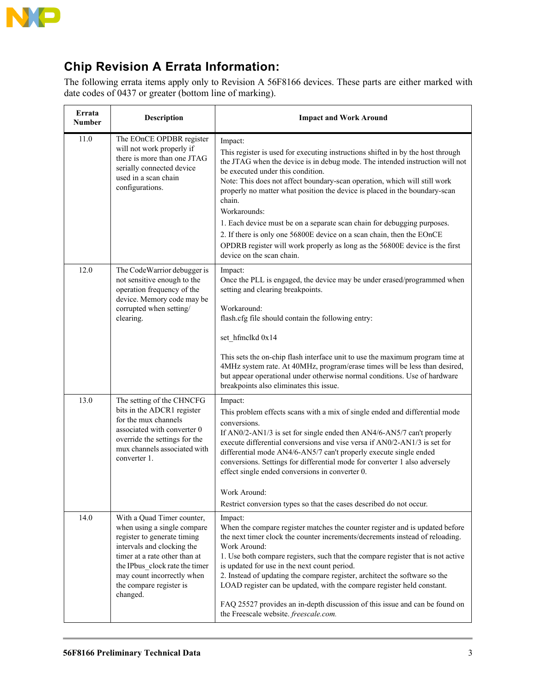

### **Chip Revision A Errata Information:**

The following errata items apply only to Revision A 56F8166 devices. These parts are either marked with date codes of 0437 or greater (bottom line of marking).

| Errata<br><b>Number</b> | Description                                                                                                                                                                                                                                                    | <b>Impact and Work Around</b>                                                                                                                                                                                                                                                                                                                                                                                                                                                                                                                                                                                                                                        |
|-------------------------|----------------------------------------------------------------------------------------------------------------------------------------------------------------------------------------------------------------------------------------------------------------|----------------------------------------------------------------------------------------------------------------------------------------------------------------------------------------------------------------------------------------------------------------------------------------------------------------------------------------------------------------------------------------------------------------------------------------------------------------------------------------------------------------------------------------------------------------------------------------------------------------------------------------------------------------------|
| 11.0                    | The EOnCE OPDBR register<br>will not work properly if<br>there is more than one JTAG<br>serially connected device<br>used in a scan chain<br>configurations.                                                                                                   | Impact:<br>This register is used for executing instructions shifted in by the host through<br>the JTAG when the device is in debug mode. The intended instruction will not<br>be executed under this condition.<br>Note: This does not affect boundary-scan operation, which will still work<br>properly no matter what position the device is placed in the boundary-scan<br>chain.<br>Workarounds:<br>1. Each device must be on a separate scan chain for debugging purposes.<br>2. If there is only one 56800E device on a scan chain, then the EOnCE<br>OPDRB register will work properly as long as the 56800E device is the first<br>device on the scan chain. |
| 12.0                    | The CodeWarrior debugger is<br>not sensitive enough to the<br>operation frequency of the<br>device. Memory code may be<br>corrupted when setting/<br>clearing.                                                                                                 | Impact:<br>Once the PLL is engaged, the device may be under erased/programmed when<br>setting and clearing breakpoints.<br>Workaround:<br>flash.cfg file should contain the following entry:<br>set_hfmclkd 0x14<br>This sets the on-chip flash interface unit to use the maximum program time at<br>4MHz system rate. At 40MHz, program/erase times will be less than desired,<br>but appear operational under otherwise normal conditions. Use of hardware<br>breakpoints also eliminates this issue.                                                                                                                                                              |
| 13.0                    | The setting of the CHNCFG<br>bits in the ADCR1 register<br>for the mux channels<br>associated with converter 0<br>override the settings for the<br>mux channels associated with<br>converter 1.                                                                | Impact:<br>This problem effects scans with a mix of single ended and differential mode<br>conversions.<br>If AN0/2-AN1/3 is set for single ended then AN4/6-AN5/7 can't properly<br>execute differential conversions and vise versa if AN0/2-AN1/3 is set for<br>differential mode AN4/6-AN5/7 can't properly execute single ended<br>conversions. Settings for differential mode for converter 1 also adversely<br>effect single ended conversions in converter 0.<br>Work Around:<br>Restrict conversion types so that the cases described do not occur.                                                                                                           |
| 14.0                    | With a Quad Timer counter,<br>when using a single compare<br>register to generate timing<br>intervals and clocking the<br>timer at a rate other than at<br>the IPbus clock rate the timer<br>may count incorrectly when<br>the compare register is<br>changed. | Impact:<br>When the compare register matches the counter register and is updated before<br>the next timer clock the counter increments/decrements instead of reloading.<br>Work Around:<br>1. Use both compare registers, such that the compare register that is not active<br>is updated for use in the next count period.<br>2. Instead of updating the compare register, architect the software so the<br>LOAD register can be updated, with the compare register held constant.<br>FAQ 25527 provides an in-depth discussion of this issue and can be found on<br>the Freescale website. freescale.com.                                                          |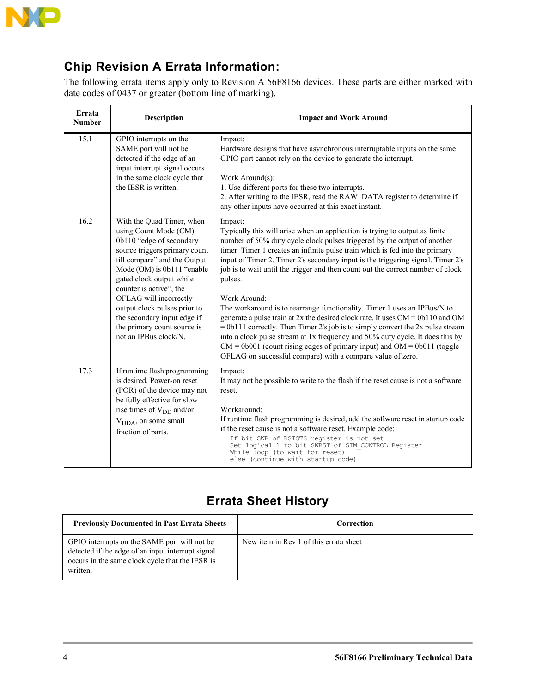

### **Chip Revision A Errata Information:**

The following errata items apply only to Revision A 56F8166 devices. These parts are either marked with date codes of 0437 or greater (bottom line of marking).

| Errata<br><b>Number</b> | <b>Description</b>                                                                                                                                                                                                                                                                                                                                                                    | <b>Impact and Work Around</b>                                                                                                                                                                                                                                                                                                                                                                                                                                                                                                                                                                                                                                                                                                                                                                                                                                                                                                           |
|-------------------------|---------------------------------------------------------------------------------------------------------------------------------------------------------------------------------------------------------------------------------------------------------------------------------------------------------------------------------------------------------------------------------------|-----------------------------------------------------------------------------------------------------------------------------------------------------------------------------------------------------------------------------------------------------------------------------------------------------------------------------------------------------------------------------------------------------------------------------------------------------------------------------------------------------------------------------------------------------------------------------------------------------------------------------------------------------------------------------------------------------------------------------------------------------------------------------------------------------------------------------------------------------------------------------------------------------------------------------------------|
| 15.1                    | GPIO interrupts on the<br>SAME port will not be<br>detected if the edge of an<br>input interrupt signal occurs<br>in the same clock cycle that<br>the IESR is written.                                                                                                                                                                                                                | Impact:<br>Hardware designs that have asynchronous interruptable inputs on the same<br>GPIO port cannot rely on the device to generate the interrupt.<br>Work Around(s):<br>1. Use different ports for these two interrupts.<br>2. After writing to the IESR, read the RAW DATA register to determine if<br>any other inputs have occurred at this exact instant.                                                                                                                                                                                                                                                                                                                                                                                                                                                                                                                                                                       |
| 16.2                    | With the Quad Timer, when<br>using Count Mode (CM)<br>0b110 "edge of secondary<br>source triggers primary count<br>till compare" and the Output<br>Mode (OM) is 0b111 "enable<br>gated clock output while<br>counter is active", the<br>OFLAG will incorrectly<br>output clock pulses prior to<br>the secondary input edge if<br>the primary count source is<br>not an IPBus clock/N. | Impact:<br>Typically this will arise when an application is trying to output as finite<br>number of 50% duty cycle clock pulses triggered by the output of another<br>timer. Timer 1 creates an infinite pulse train which is fed into the primary<br>input of Timer 2. Timer 2's secondary input is the triggering signal. Timer 2's<br>job is to wait until the trigger and then count out the correct number of clock<br>pulses.<br>Work Around:<br>The workaround is to rearrange functionality. Timer 1 uses an IPBus/N to<br>generate a pulse train at $2x$ the desired clock rate. It uses $CM = 0b110$ and OM<br>$= 0b111$ correctly. Then Timer 2's job is to simply convert the 2x pulse stream<br>into a clock pulse stream at 1x frequency and 50% duty cycle. It does this by<br>$CM = 0b001$ (count rising edges of primary input) and $OM = 0b011$ (toggle<br>OFLAG on successful compare) with a compare value of zero. |
| 17.3                    | If runtime flash programming<br>is desired, Power-on reset<br>(POR) of the device may not<br>be fully effective for slow<br>rise times of V <sub>DD</sub> and/or<br>V <sub>DDA</sub> , on some small<br>fraction of parts.                                                                                                                                                            | Impact:<br>It may not be possible to write to the flash if the reset cause is not a software<br>reset.<br>Workaround:<br>If runtime flash programming is desired, add the software reset in startup code<br>if the reset cause is not a software reset. Example code:<br>If bit SWR of RSTSTS register is not set<br>Set logical 1 to bit SWRST of SIM CONTROL Register<br>While loop (to wait for reset)<br>else (continue with startup code)                                                                                                                                                                                                                                                                                                                                                                                                                                                                                          |

### **Errata Sheet History**

| <b>Previously Documented in Past Errata Sheets</b>                                                                                                               | Correction                             |
|------------------------------------------------------------------------------------------------------------------------------------------------------------------|----------------------------------------|
| GPIO interrupts on the SAME port will not be<br>detected if the edge of an input interrupt signal<br>occurs in the same clock cycle that the IESR is<br>written. | New item in Rev 1 of this errata sheet |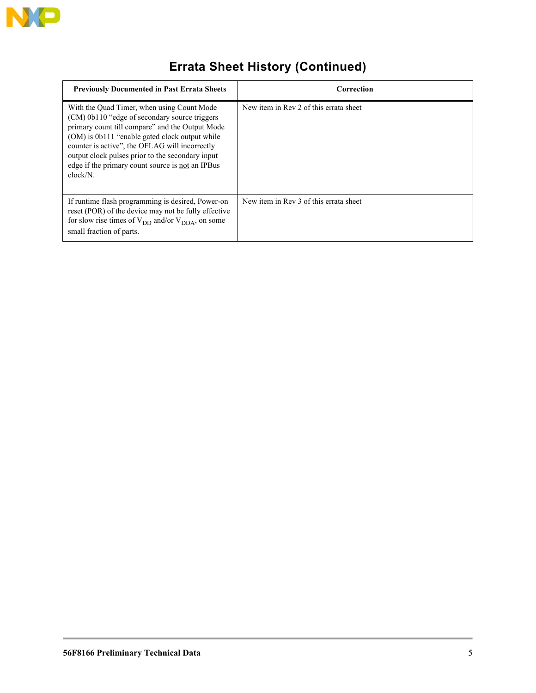

## **Errata Sheet History (Continued)**

| <b>Previously Documented in Past Errata Sheets</b>                                                                                                                                                                                                                                                                                                                     | Correction                             |
|------------------------------------------------------------------------------------------------------------------------------------------------------------------------------------------------------------------------------------------------------------------------------------------------------------------------------------------------------------------------|----------------------------------------|
| With the Quad Timer, when using Count Mode<br>(CM) 0b110 "edge of secondary source triggers<br>primary count till compare" and the Output Mode<br>(OM) is 0b111 "enable gated clock output while<br>counter is active", the OFLAG will incorrectly<br>output clock pulses prior to the secondary input<br>edge if the primary count source is not an IPBus<br>clock/N. | New item in Rev 2 of this errata sheet |
| If runtime flash programming is desired, Power-on<br>reset (POR) of the device may not be fully effective<br>for slow rise times of $V_{DD}$ and/or $V_{DDA}$ , on some<br>small fraction of parts.                                                                                                                                                                    | New item in Rev 3 of this errata sheet |